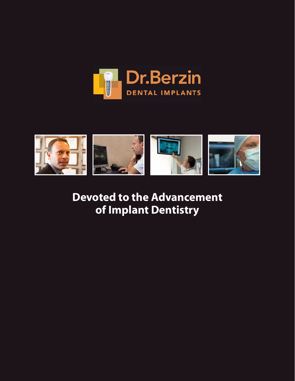



**Devoted to the Advancement of Implant Dentistry**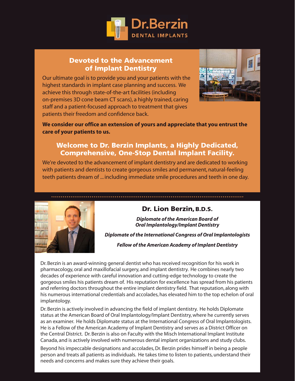

## **Devoted to the Advancement of Implant Dentistry**

Our ultimate goal is to provide you and your patients with the highest standards in implant case planning and success. We achieve this through state-of-the-art facilities (including on-premises 3D cone beam CT scans), a highly trained, caring staff and a patient-focused approach to treatment that gives patients their freedom and confidence back.



**We consider our office an extension of yours and appreciate that you entrust the care of your patients to us.** 

## **Welcome to Dr. Berzin Implants, a Highly Dedicated, Comprehensive, One-Stop Dental Implant Facility.**

We're devoted to the advancement of implant dentistry and are dedicated to working with patients and dentists to create gorgeous smiles and permanent, natural-feeling teeth patients dream of ... including immediate smile procedures and teeth in one day.



## **Dr. Lion Berzin,B.D.S.**

*Diplomate of the American Board of Oral Implantology/Implant Dentistry*

*Diplomate of the International Congress of Oral Implantologists*

*Fellow of the American Academy of Implant Dentistry* 

Dr. Berzin is an award-winning general dentist who has received recognition for his work in pharmacology, oral and maxillofacial surgery, and implant dentistry. He combines nearly two decades of experience with careful innovation and cutting-edge technology to create the gorgeous smiles his patients dream of. His reputation for excellence has spread from his patients and referring doctors throughout the entire implant dentistry field. That reputation, along with his numerous international credentials and accolades, has elevated him to the top echelon of oral implantology.

Dr. Berzin is actively involved in advancing the field of implant dentistry. He holds Diplomate status at the American Board of Oral Implantology/Implant Dentistry, where he currently serves as an examiner. He holds Diplomate status at the International Congress of Oral Implantologists. He is a Fellow of the American Academy of Implant Dentistry and serves as a District Officer on the Central District. Dr. Berzin is also on Faculty with the Misch International Implant Institute Canada, and is actively involved with numerous dental implant organizations and study clubs.

Beyond his impeccable designations and accolades, Dr. Berzin prides himself in being a people person and treats all patients as individuals. He takes time to listen to patients, understand their needs and concerns and makes sure they achieve their goals.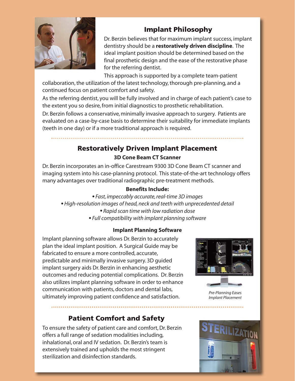

# **Implant Philosophy**

Dr. Berzin believes that for maximum implant success, implant dentistry should be a **restoratively driven discipline**. The ideal implant position should be determined based on the final prosthetic design and the ease of the restorative phase for the referring dentist.

This approach is supported by a complete team-patient

collaboration, the utilization of the latest technology, thorough pre-planning, and a continued focus on patient comfort and safety.

As the referring dentist, you will be fully involved and in charge of each patient's case to the extent you so desire, from initial diagnostics to prosthetic rehabilitation.

Dr. Berzin follows a conservative, minimally invasive approach to surgery. Patients are evaluated on a case-by-case basis to determine their suitability for immediate implants (teeth in one day) or if a more traditional approach is required.

# **Restoratively Driven Implant Placement 3D Cone Beam CT Scanner**

Dr. Berzin incorporates an in-office Carestream 9300 3D Cone Beam CT scanner and imaging system into his case-planning protocol. This state-of-the-art technology offers many advantages over traditional radiographic pre-treatment methods.

## **Benefits Include:**

- *• Fast, impeccably accurate, real-time 3D images*
- *• High-resolution images of head, neck and teeth with unprecedented detail*
	- *• Rapid scan time with low radiation dose*
	- *• Full compatibility with implant planning software*

### **Implant Planning Software**

Implant planning software allows Dr. Berzin to accurately plan the ideal implant position. A Surgical Guide may be fabricated to ensure a more controlled, accurate, predictable and minimally invasive surgery. 3D guided implant surgery aids Dr. Berzin in enhancing aesthetic outcomes and reducing potential complications. Dr. Berzin also utilizes implant planning software in order to enhance communication with patients, doctors and dental labs, ultimately improving patient confidence and satisfaction.

# **Patient Comfort and Safety**

To ensure the safety of patient care and comfort, Dr. Berzin offers a full range of sedation modalities including, inhalational, oral and IV sedation. Dr. Berzin's team is extensively trained and upholds the most stringent sterilization and disinfection standards.



*Pre-Planning Eases Implant Placement*

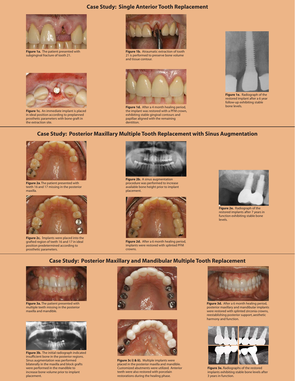### **Case Study: Single Anterior Tooth Replacement**



**Figure 1a.** The patient presented with subgingival fracture of tooth 21.



**Figure 1c.** An immediate implant is placed in ideal position according to preplanned prosthetic parameters with bone graft in the extraction site.



**Figure 1b.** Atraumatic extraction of tooth 21 is performed to preserve bone volume and tissue contour.



**Figure 1d.** After a 4 month healing period, the implant was restored with a PFM crown, exhibiting stable gingival contours and papillae aligned with the remaining dentition.



**Figure 1e.** Radiograph of the restored implant after a 6 year follow-up exhibiting stable bone levels.

#### **Case Study: Posterior Maxillary Multiple Tooth Replacement with Sinus Augmentation**



**Figure 2a**. The patient presented with teeth 16 and 17 missing in the posterior maxilla.



**Figure 2c.** Implants were placed into the grafted region of teeth 16 and 17 in ideal position predetermined according to prosthetic parameters.



procedure was performed to increase available bone height prior to implant placement.



**Figure 2d.** After a 6 month healing period, implants were restored with splinted PFM crowns.



**Figure 2e.** Radiograph of the restored implants after 7 years in function exhibiting stable bone levels.

### **Case Study: Posterior Maxillary and Mandibular Multiple Tooth Replacement**



**Figure 3a.** The patient presented with multiple teeth missing in the posterior maxilla and mandible.



**Figure 3b.** The initial radiograph indicated insufficient bone in the posterior regions. Sinus augmentation was performed bilaterally in the maxilla and block grafts were performed in the mandible to increase bone volume prior to implant placement.





**Figure 3c i) & ii).** Multiple implants were placed in the posterior maxilla and mandible. Customized abutments were utilized. Anterior teeth were also restored with porcelain restorations during the healing phase.



**Figure 3d.** After a 6 month healing period, posterior maxillary and mandibular implants were restored with splinted zirconia crowns, reestablishing posterior support, aesthetic harmony and function.



**Figure 3e.** Radiographs of the restored implants exhibiting stable bone levels after 3 years in function.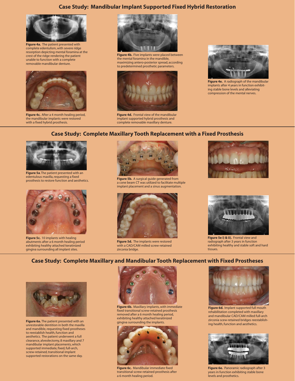### **Case Study: Mandibular Implant Supported Fixed Hybrid Restoration**



**Figure 4a.** The patient presented with complete edentulism, with severe ridge resorption depicting mental foramina at the crest of the ridge rendering the patient unable to function with a complete removable mandibular denture.



**Figure 4c.** After a 4 month healing period, the mandibular implants were restored with a fixed hybrid prosthesis.



**Figure 4b.** Five implants were placed between the mental foramina in the mandible, maximizing antero-posterior spread, according to predetermined prosthetic parameters.



**Figure 4d.** Frontal view of the mandibular implant supported hybrid prosthesis and complete removable maxillary denture.



**Figure 4e.** A radiograph of the mandibular implants after 4 years in function exhibiting stable bone levels and alleviating compression of the mental nerves.

#### **Case Study: Complete Maxillary Tooth Replacement with a Fixed Prosthesis**



**Figure 5a**. The patient presented with an edentulous maxilla, requesting a fixed<br>prosthesis to restore function and aesthetics



**Figure 5c.** 10 implants with healing abutments after a 6 month healing period exhibiting healthy attached keratinized gingiva surrounding all implant sites.



Figure 5b. A surgical guide generated from a cone beam CT was utilized to facilitate multiple implant placement and a sinus augmentation.



**Figure 5d.** The implants were restored with a CAD/CAM milled screw-retained zirconia bridge.





**Figure 5e i) & ii).** Frontal view and radiograph after 3 years in function exhibiting healthy and stable soft and hard tissues.

### **Case Study: Complete Maxillary and Mandibular Tooth Replacement with Fixed Prostheses**



**Figure 6a.** The patient presented with an unrestorable dentition in both the maxilla and mandible, requesting fixed prostheses to reestablish health, function and aesthetics. The patient underwent a full clearance, alveolectomy, 8 maxillary and 7 mandibular implant placements, which supported immediate, fixed, full-arch, screw-retained, transitional implant supported restorations on the same day.



**Figure 6b.** Maxillary implants, with immediate fixed transitional screw-retained prosthesis removed after a 6 month healing period, exhibiting healthy attached keratinized gingiva surrounding the implants.



**Figure 6c.** Mandibular immediate fixed transitional screw-retained prosthesis after a 6 month healing period.



**Figure 6d.** Implant supported full mouth rehabilitation completed with maxillary and mandibular CAD/CAM milled full-arch zirconia scew-retained bridges reestablishing health, function and aesthetics.



**Figure 6e.** Panoramic radiograph after 3 years in function exhibiting stable bone levels and prosthetics.